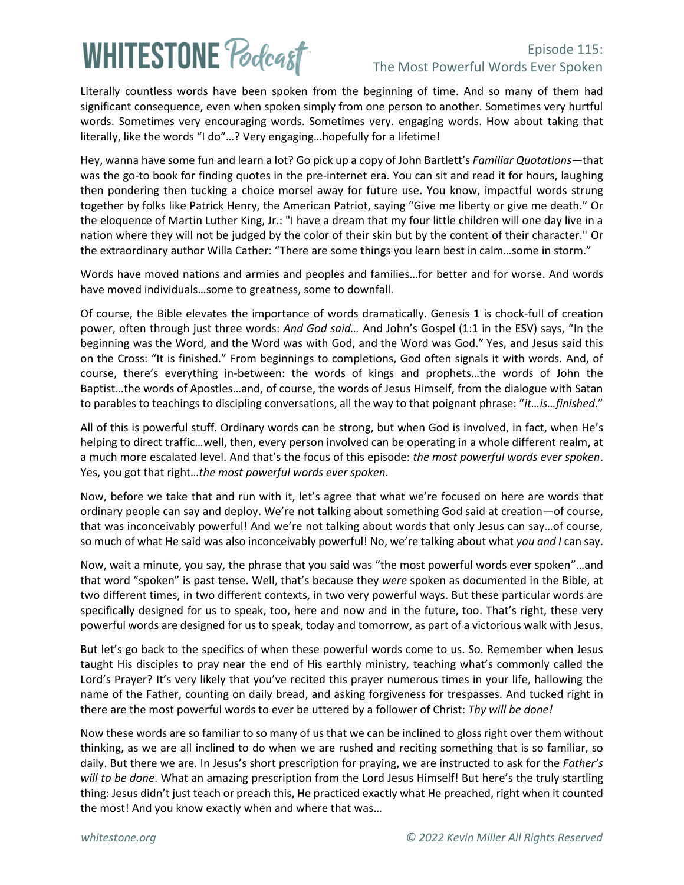## **WHITESTONE Poclast**

### Episode 115: The Most Powerful Words Ever Spoken

Literally countless words have been spoken from the beginning of time. And so many of them had significant consequence, even when spoken simply from one person to another. Sometimes very hurtful words. Sometimes very encouraging words. Sometimes very. engaging words. How about taking that literally, like the words "I do"…? Very engaging…hopefully for a lifetime!

Hey, wanna have some fun and learn a lot? Go pick up a copy of John Bartlett's *Familiar Quotations*—that was the go-to book for finding quotes in the pre-internet era. You can sit and read it for hours, laughing then pondering then tucking a choice morsel away for future use. You know, impactful words strung together by folks like Patrick Henry, the American Patriot, saying "Give me liberty or give me death." Or the eloquence of Martin Luther King, Jr.: "I have a dream that my four little children will one day live in a nation where they will not be judged by the color of their skin but by the content of their character." Or the extraordinary author Willa Cather: "There are some things you learn best in calm…some in storm."

Words have moved nations and armies and peoples and families…for better and for worse. And words have moved individuals…some to greatness, some to downfall.

Of course, the Bible elevates the importance of words dramatically. Genesis 1 is chock-full of creation power, often through just three words: *And God said…* And John's Gospel (1:1 in the ESV) says, "In the beginning was the Word, and the Word was with God, and the Word was God." Yes, and Jesus said this on the Cross: "It is finished." From beginnings to completions, God often signals it with words. And, of course, there's everything in-between: the words of kings and prophets…the words of John the Baptist…the words of Apostles…and, of course, the words of Jesus Himself, from the dialogue with Satan to parables to teachings to discipling conversations, all the way to that poignant phrase: "*it…is…finished*."

All of this is powerful stuff. Ordinary words can be strong, but when God is involved, in fact, when He's helping to direct traffic…well, then, every person involved can be operating in a whole different realm, at a much more escalated level. And that's the focus of this episode: *the most powerful words ever spoken*. Yes, you got that right…*the most powerful words ever spoken.* 

Now, before we take that and run with it, let's agree that what we're focused on here are words that ordinary people can say and deploy. We're not talking about something God said at creation—of course, that was inconceivably powerful! And we're not talking about words that only Jesus can say…of course, so much of what He said was also inconceivably powerful! No, we're talking about what *you and I* can say.

Now, wait a minute, you say, the phrase that you said was "the most powerful words ever spoken"…and that word "spoken" is past tense. Well, that's because they *were* spoken as documented in the Bible, at two different times, in two different contexts, in two very powerful ways. But these particular words are specifically designed for us to speak, too, here and now and in the future, too. That's right, these very powerful words are designed for us to speak, today and tomorrow, as part of a victorious walk with Jesus.

But let's go back to the specifics of when these powerful words come to us. So. Remember when Jesus taught His disciples to pray near the end of His earthly ministry, teaching what's commonly called the Lord's Prayer? It's very likely that you've recited this prayer numerous times in your life, hallowing the name of the Father, counting on daily bread, and asking forgiveness for trespasses. And tucked right in there are the most powerful words to ever be uttered by a follower of Christ: *Thy will be done!*

Now these words are so familiar to so many of us that we can be inclined to gloss right over them without thinking, as we are all inclined to do when we are rushed and reciting something that is so familiar, so daily. But there we are. In Jesus's short prescription for praying, we are instructed to ask for the *Father's will to be done*. What an amazing prescription from the Lord Jesus Himself! But here's the truly startling thing: Jesus didn't just teach or preach this, He practiced exactly what He preached, right when it counted the most! And you know exactly when and where that was…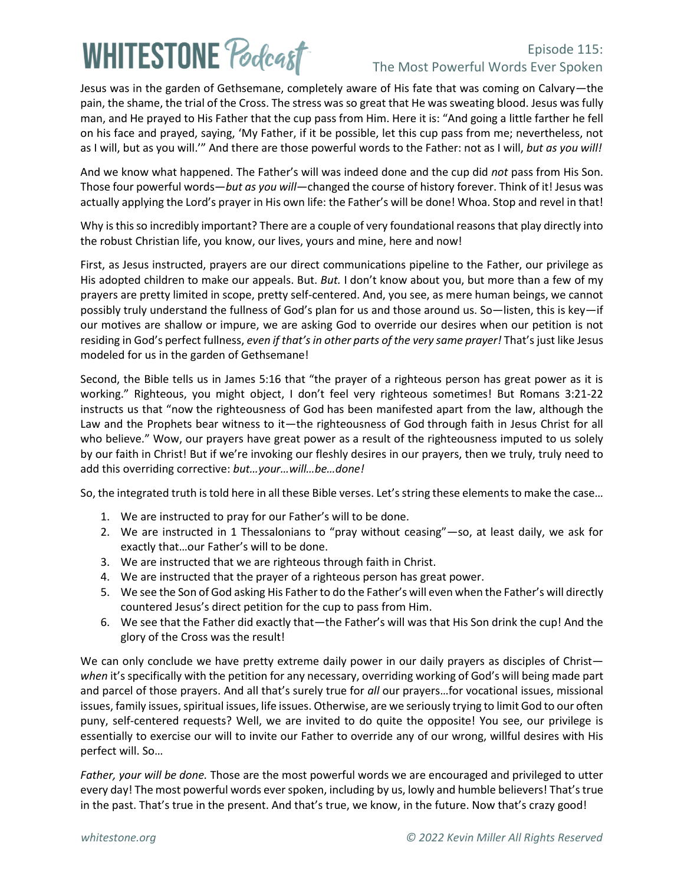# **WHITESTONE Poclast**

### Episode 115: The Most Powerful Words Ever Spoken

Jesus was in the garden of Gethsemane, completely aware of His fate that was coming on Calvary—the pain, the shame, the trial of the Cross. The stress was so great that He was sweating blood. Jesus was fully man, and He prayed to His Father that the cup pass from Him. Here it is: "And going a little farther he fell on his face and prayed, saying, 'My Father, if it be possible, let this cup pass from me; nevertheless, not as I will, but as you will.'" And there are those powerful words to the Father: not as I will, *but as you will!*

And we know what happened. The Father's will was indeed done and the cup did *not* pass from His Son. Those four powerful words—*but as you will*—changed the course of history forever. Think of it! Jesus was actually applying the Lord's prayer in His own life: the Father's will be done! Whoa. Stop and revel in that!

Why is this so incredibly important? There are a couple of very foundational reasons that play directly into the robust Christian life, you know, our lives, yours and mine, here and now!

First, as Jesus instructed, prayers are our direct communications pipeline to the Father, our privilege as His adopted children to make our appeals. But. *But.* I don't know about you, but more than a few of my prayers are pretty limited in scope, pretty self-centered. And, you see, as mere human beings, we cannot possibly truly understand the fullness of God's plan for us and those around us. So—listen, this is key—if our motives are shallow or impure, we are asking God to override our desires when our petition is not residing in God's perfect fullness, *even if that's in other parts of the very same prayer!* That's just like Jesus modeled for us in the garden of Gethsemane!

Second, the Bible tells us in James 5:16 that "the prayer of a righteous person has great power as it is working." Righteous, you might object, I don't feel very righteous sometimes! But Romans 3:21-22 instructs us that "now the righteousness of God has been manifested apart from the law, although the Law and the Prophets bear witness to it—the righteousness of God through faith in Jesus Christ for all who believe." Wow, our prayers have great power as a result of the righteousness imputed to us solely by our faith in Christ! But if we're invoking our fleshly desires in our prayers, then we truly, truly need to add this overriding corrective: *but…your…will…be…done!* 

So, the integrated truth is told here in all these Bible verses. Let's string these elements to make the case…

- 1. We are instructed to pray for our Father's will to be done.
- 2. We are instructed in 1 Thessalonians to "pray without ceasing"—so, at least daily, we ask for exactly that…our Father's will to be done.
- 3. We are instructed that we are righteous through faith in Christ.
- 4. We are instructed that the prayer of a righteous person has great power.
- 5. We see the Son of God asking His Father to do the Father's will even when the Father's will directly countered Jesus's direct petition for the cup to pass from Him.
- 6. We see that the Father did exactly that—the Father's will was that His Son drink the cup! And the glory of the Cross was the result!

We can only conclude we have pretty extreme daily power in our daily prayers as disciples of Christ *when* it's specifically with the petition for any necessary, overriding working of God's will being made part and parcel of those prayers. And all that's surely true for *all* our prayers…for vocational issues, missional issues, family issues, spiritual issues, life issues. Otherwise, are we seriously trying to limit God to our often puny, self-centered requests? Well, we are invited to do quite the opposite! You see, our privilege is essentially to exercise our will to invite our Father to override any of our wrong, willful desires with His perfect will. So…

*Father, your will be done.* Those are the most powerful words we are encouraged and privileged to utter every day! The most powerful words ever spoken, including by us, lowly and humble believers! That's true in the past. That's true in the present. And that's true, we know, in the future. Now that's crazy good!